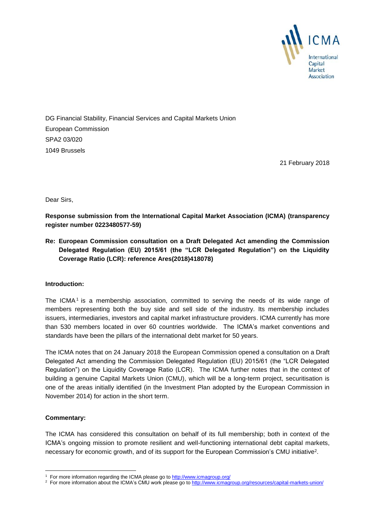

DG Financial Stability, Financial Services and Capital Markets Union European Commission SPA2 03/020 1049 Brussels

21 February 2018

Dear Sirs,

**Response submission from the International Capital Market Association (ICMA) (transparency register number 0223480577-59)**

**Re: European Commission consultation on a Draft Delegated Act amending the Commission Delegated Regulation (EU) 2015/61 (the "LCR Delegated Regulation") on the Liquidity Coverage Ratio (LCR): reference Ares(2018)418078)**

## **Introduction:**

The ICMA<sup>1</sup> is a membership association, committed to serving the needs of its wide range of members representing both the buy side and sell side of the industry. Its membership includes issuers, intermediaries, investors and capital market infrastructure providers. ICMA currently has more than 530 members located in over 60 countries worldwide. The ICMA's market conventions and standards have been the pillars of the international debt market for 50 years.

The ICMA notes that on 24 January 2018 the European Commission opened a consultation on a Draft Delegated Act amending the Commission Delegated Regulation (EU) 2015/61 (the "LCR Delegated Regulation") on the Liquidity Coverage Ratio (LCR). The ICMA further notes that in the context of building a genuine Capital Markets Union (CMU), which will be a long-term project, securitisation is one of the areas initially identified (in the Investment Plan adopted by the European Commission in November 2014) for action in the short term.

## **Commentary:**

-

The ICMA has considered this consultation on behalf of its full membership; both in context of the ICMA's ongoing mission to promote resilient and well-functioning international debt capital markets, necessary for economic growth, and of its support for the European Commission's CMU initiative<sup>2</sup>.

<sup>&</sup>lt;sup>1</sup> For more information regarding the ICMA please go to<http://www.icmagroup.org/>

<sup>&</sup>lt;sup>2</sup> For more information about the ICMA's CMU work please go t[o http://www.icmagroup.org/resources/capital-markets-union/](http://www.icmagroup.org/resources/capital-markets-union/)